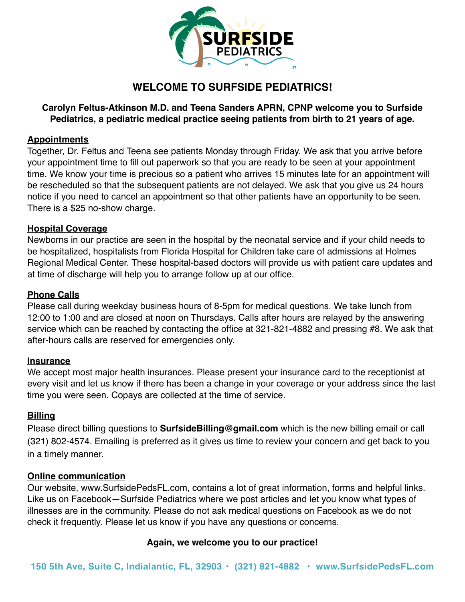

## **WELCOME TO SURFSIDE PEDIATRICS!**

### **Carolyn Feltus-Atkinson M.D. and Teena Sanders APRN, CPNP welcome you to Surfside Pediatrics, a pediatric medical practice seeing patients from birth to 21 years of age.**

### **Appointments**

Together, Dr. Feltus and Teena see patients Monday through Friday. We ask that you arrive before your appointment time to fill out paperwork so that you are ready to be seen at your appointment time. We know your time is precious so a patient who arrives 15 minutes late for an appointment will be rescheduled so that the subsequent patients are not delayed. We ask that you give us 24 hours notice if you need to cancel an appointment so that other patients have an opportunity to be seen. There is a \$25 no-show charge.

### **Hospital Coverage**

Newborns in our practice are seen in the hospital by the neonatal service and if your child needs to be hospitalized, hospitalists from Florida Hospital for Children take care of admissions at Holmes Regional Medical Center. These hospital-based doctors will provide us with patient care updates and at time of discharge will help you to arrange follow up at our office.

### **Phone Calls**

Please call during weekday business hours of 8-5pm for medical questions. We take lunch from 12:00 to 1:00 and are closed at noon on Thursdays. Calls after hours are relayed by the answering service which can be reached by contacting the office at 321-821-4882 and pressing #8. We ask that after-hours calls are reserved for emergencies only.

### **Insurance**

We accept most major health insurances. Please present your insurance card to the receptionist at every visit and let us know if there has been a change in your coverage or your address since the last time you were seen. Copays are collected at the time of service.

### **Billing**

Please direct billing questions to **[SurfsideBilling@gmail.com](mailto:Surfsidebilling@gmail.com)** which is the new billing email or call (321) 802-4574. Emailing is preferred as it gives us time to review your concern and get back to you in a timely manner.

### **Online communication**

Our website, www.SurfsidePedsFL.com, contains a lot of great information, forms and helpful links. Like us on Facebook—Surfside Pediatrics where we post articles and let you know what types of illnesses are in the community. Please do not ask medical questions on Facebook as we do not check it frequently. Please let us know if you have any questions or concerns.

### **Again, we welcome you to our practice!**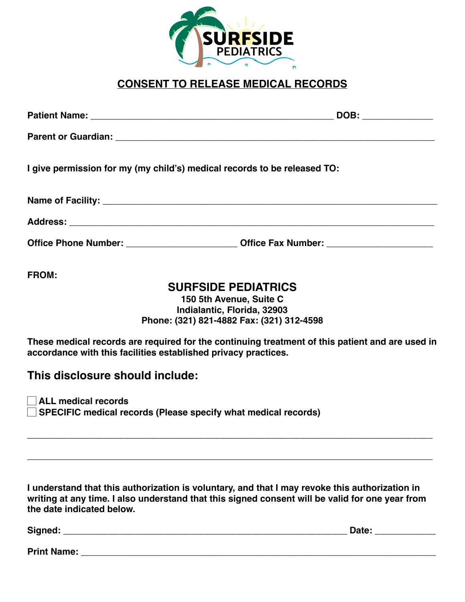

## **CONSENT TO RELEASE MEDICAL RECORDS**

|              | DOB: _______________                                                                                                                                              |
|--------------|-------------------------------------------------------------------------------------------------------------------------------------------------------------------|
|              |                                                                                                                                                                   |
|              | I give permission for my (my child's) medical records to be released TO:                                                                                          |
|              |                                                                                                                                                                   |
|              |                                                                                                                                                                   |
|              | Office Phone Number: _______________________________Office Fax Number: _____________________________                                                              |
| <b>FROM:</b> |                                                                                                                                                                   |
|              | <b>SURFSIDE PEDIATRICS</b>                                                                                                                                        |
|              | 150 5th Avenue, Suite C                                                                                                                                           |
|              | Indialantic, Florida, 32903                                                                                                                                       |
|              | Phone: (321) 821-4882 Fax: (321) 312-4598                                                                                                                         |
|              | These medical records are required for the continuing treatment of this patient and are used in<br>accordance with this facilities established privacy practices. |

### **This disclosure should include:**

☐ **ALL medical records** ☐ **SPECIFIC medical records (Please specify what medical records)** 

**I understand that this authorization is voluntary, and that I may revoke this authorization in writing at any time. I also understand that this signed consent will be valid for one year from the date indicated below.** 

**\_\_\_\_\_\_\_\_\_\_\_\_\_\_\_\_\_\_\_\_\_\_\_\_\_\_\_\_\_\_\_\_\_\_\_\_\_\_\_\_\_\_\_\_\_\_\_\_\_\_\_\_\_\_\_\_\_\_\_\_\_\_\_\_\_\_\_\_\_\_\_\_\_\_\_\_\_\_\_\_**

**\_\_\_\_\_\_\_\_\_\_\_\_\_\_\_\_\_\_\_\_\_\_\_\_\_\_\_\_\_\_\_\_\_\_\_\_\_\_\_\_\_\_\_\_\_\_\_\_\_\_\_\_\_\_\_\_\_\_\_\_\_\_\_\_\_\_\_\_\_\_\_\_\_\_\_\_\_\_\_\_**

| Signed:            | Date: |  |
|--------------------|-------|--|
|                    |       |  |
| <b>Print Name:</b> |       |  |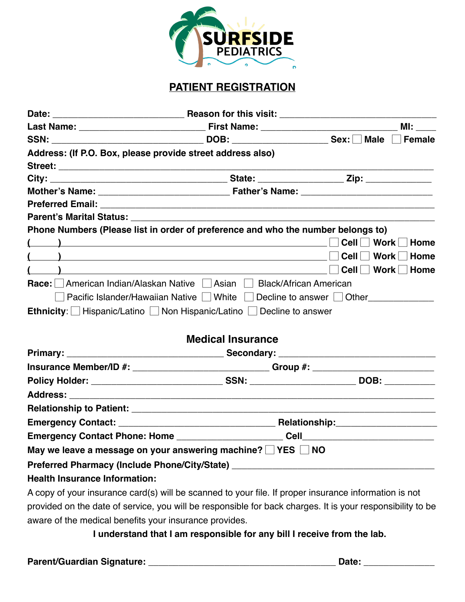

## **PATIENT REGISTRATION**

| Date:                                                                                                                                                                                                                                                                                                                              |                                                                      |                                 |
|------------------------------------------------------------------------------------------------------------------------------------------------------------------------------------------------------------------------------------------------------------------------------------------------------------------------------------|----------------------------------------------------------------------|---------------------------------|
|                                                                                                                                                                                                                                                                                                                                    |                                                                      |                                 |
|                                                                                                                                                                                                                                                                                                                                    |                                                                      |                                 |
| Address: (If P.O. Box, please provide street address also)                                                                                                                                                                                                                                                                         |                                                                      |                                 |
|                                                                                                                                                                                                                                                                                                                                    |                                                                      |                                 |
|                                                                                                                                                                                                                                                                                                                                    |                                                                      |                                 |
|                                                                                                                                                                                                                                                                                                                                    |                                                                      |                                 |
|                                                                                                                                                                                                                                                                                                                                    |                                                                      |                                 |
|                                                                                                                                                                                                                                                                                                                                    |                                                                      |                                 |
| Phone Numbers (Please list in order of preference and who the number belongs to)                                                                                                                                                                                                                                                   |                                                                      |                                 |
| $\begin{pmatrix} 1 & 1 & 1 \ 1 & 1 & 1 \end{pmatrix}$                                                                                                                                                                                                                                                                              |                                                                      | Cell $\Box$ Work $\Box$<br>Home |
| $\left(\begin{array}{cc} 1 & 1 \end{array}\right)$                                                                                                                                                                                                                                                                                 |                                                                      | Cell Vork Home                  |
| $\overline{a}$ and $\overline{a}$ and $\overline{a}$ and $\overline{a}$ and $\overline{a}$ and $\overline{a}$ and $\overline{a}$ and $\overline{a}$ and $\overline{a}$ and $\overline{a}$ and $\overline{a}$ and $\overline{a}$ and $\overline{a}$ and $\overline{a}$ and $\overline{a}$ and $\overline{a}$ and $\overline{a}$ and |                                                                      | $Cell$ Work<br>$\Box$ Home      |
| Race: American Indian/Alaskan Native Asian Aleck/African American                                                                                                                                                                                                                                                                  |                                                                      |                                 |
|                                                                                                                                                                                                                                                                                                                                    | Pacific Islander/Hawaiian Native □ White □ Decline to answer □ Other |                                 |
| Ethnicity: Hispanic/Latino Non Hispanic/Latino $\Box$ Decline to answer                                                                                                                                                                                                                                                            |                                                                      |                                 |
|                                                                                                                                                                                                                                                                                                                                    |                                                                      |                                 |
|                                                                                                                                                                                                                                                                                                                                    | <b>Medical Insurance</b>                                             |                                 |
|                                                                                                                                                                                                                                                                                                                                    |                                                                      |                                 |
| Insurance Member/ID #: ____________________________Group #: ____________________                                                                                                                                                                                                                                                   |                                                                      |                                 |
|                                                                                                                                                                                                                                                                                                                                    |                                                                      |                                 |
|                                                                                                                                                                                                                                                                                                                                    |                                                                      |                                 |
|                                                                                                                                                                                                                                                                                                                                    |                                                                      |                                 |
|                                                                                                                                                                                                                                                                                                                                    |                                                                      |                                 |
|                                                                                                                                                                                                                                                                                                                                    |                                                                      |                                 |
| May we leave a message on your answering machine? $\Box$ YES $\Box$ NO                                                                                                                                                                                                                                                             |                                                                      |                                 |
| Preferred Pharmacy (Include Phone/City/State) __________________________________                                                                                                                                                                                                                                                   |                                                                      |                                 |
| <b>Health Insurance Information:</b>                                                                                                                                                                                                                                                                                               |                                                                      |                                 |

A copy of your insurance card(s) will be scanned to your file. If proper insurance information is not provided on the date of service, you will be responsible for back charges. It is your responsibility to be aware of the medical benefits your insurance provides.

**I understand that I am responsible for any bill I receive from the lab.** 

**Parent/Guardian Signature: \_\_\_\_\_\_\_\_\_\_\_\_\_\_\_\_\_\_\_\_\_\_\_\_\_\_\_\_\_\_\_\_\_\_\_\_\_ Date: \_\_\_\_\_\_\_\_\_\_\_\_\_\_**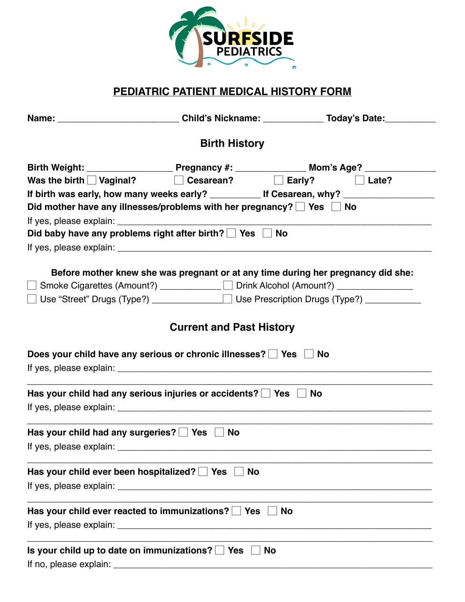

## **PEDIATRIC PATIENT MEDICAL HISTORY FORM**

|                                                                                 | <b>Birth History</b>            |                                                                                                                                                                                                                                      |
|---------------------------------------------------------------------------------|---------------------------------|--------------------------------------------------------------------------------------------------------------------------------------------------------------------------------------------------------------------------------------|
|                                                                                 |                                 |                                                                                                                                                                                                                                      |
| Was the birth $\Box$ Vaginal? $\Box$ Cesarean? $\Box$ Early? $\Box$ Late?       |                                 |                                                                                                                                                                                                                                      |
|                                                                                 |                                 | If birth was early, how many weeks early? _______________ If Cesarean, why? ________________________                                                                                                                                 |
| Did mother have any illnesses/problems with her pregnancy? $\Box$ Yes $\Box$ No |                                 |                                                                                                                                                                                                                                      |
|                                                                                 |                                 | If yes, please explain: <u>the contract of the contract of the contract of the contract of the contract of the contract of the contract of the contract of the contract of the contract of the contract of the contract of the c</u> |
| Did baby have any problems right after birth? $\Box$ Yes $\Box$ No              |                                 |                                                                                                                                                                                                                                      |
|                                                                                 |                                 |                                                                                                                                                                                                                                      |
|                                                                                 |                                 | Before mother knew she was pregnant or at any time during her pregnancy did she:                                                                                                                                                     |
|                                                                                 |                                 | □ Smoke Cigarettes (Amount?) ___________ □ Drink Alcohol (Amount?) ____________                                                                                                                                                      |
|                                                                                 |                                 | □ Use "Street" Drugs (Type?) ____________ □ Use Prescription Drugs (Type?) _________                                                                                                                                                 |
|                                                                                 |                                 |                                                                                                                                                                                                                                      |
|                                                                                 | <b>Current and Past History</b> |                                                                                                                                                                                                                                      |
|                                                                                 |                                 |                                                                                                                                                                                                                                      |
| Does your child have any serious or chronic illnesses? Signs & No               |                                 |                                                                                                                                                                                                                                      |
|                                                                                 |                                 |                                                                                                                                                                                                                                      |
| Has your child had any serious injuries or accidents? $\Box$ Yes $\Box$ No      |                                 |                                                                                                                                                                                                                                      |
|                                                                                 |                                 |                                                                                                                                                                                                                                      |
| Has your child had any surgeries? $\Box$ Yes $\Box$ No                          |                                 | <u> 1989 - Johann Stein, marwolaethau a bhann an t-Amhair ann an t-Amhair an t-Amhair an t-Amhair an t-Amhair an</u>                                                                                                                 |
|                                                                                 |                                 |                                                                                                                                                                                                                                      |
|                                                                                 |                                 |                                                                                                                                                                                                                                      |
| Has your child ever been hospitalized? $\Box$ Yes $\Box$                        | No                              |                                                                                                                                                                                                                                      |
|                                                                                 |                                 |                                                                                                                                                                                                                                      |
| Has your child ever reacted to immunizations? $\Box$ Yes                        |                                 | <b>No</b>                                                                                                                                                                                                                            |
|                                                                                 |                                 |                                                                                                                                                                                                                                      |
|                                                                                 |                                 |                                                                                                                                                                                                                                      |
| Is your child up to date on immunizations? $\Box$ Yes                           |                                 | <b>No</b>                                                                                                                                                                                                                            |
|                                                                                 |                                 |                                                                                                                                                                                                                                      |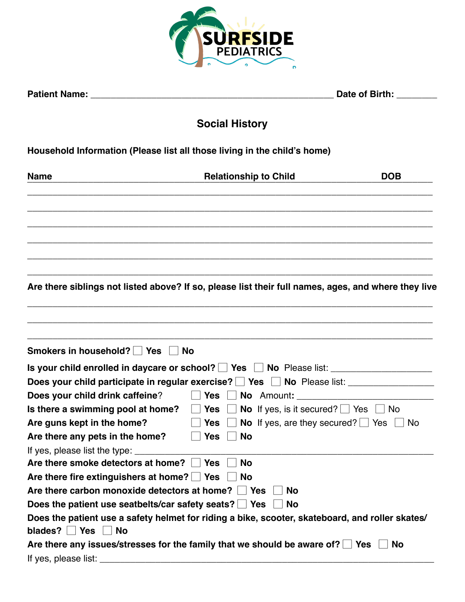

| <b>Patient Name:</b> | Date of Birth: |
|----------------------|----------------|
|                      |                |

# **Social History**

## **Household Information (Please list all those living in the child's home)**

| <b>Name</b>                                                 | <b>Relationship to Child</b>                                                                        | <b>DOB</b> |
|-------------------------------------------------------------|-----------------------------------------------------------------------------------------------------|------------|
|                                                             |                                                                                                     |            |
|                                                             |                                                                                                     |            |
|                                                             |                                                                                                     |            |
|                                                             |                                                                                                     |            |
|                                                             | Are there siblings not listed above? If so, please list their full names, ages, and where they live |            |
|                                                             |                                                                                                     |            |
|                                                             |                                                                                                     |            |
| Smokers in household?   Yes                                 | <b>No</b>                                                                                           |            |
|                                                             | Is your child enrolled in daycare or school? Ves No Please list: _______________                    |            |
|                                                             | Does your child participate in regular exercise? PYes PNo Please list: production-                  |            |
| Does your child drink caffeine?                             | No Amount:<br>$\vert$ Yes                                                                           |            |
| Is there a swimming pool at home?                           | <b>No</b> If yes, is it secured? $\Box$ Yes $\Box$ No<br><b>Yes</b>                                 |            |
| Are guns kept in the home?                                  | <b>No</b> If yes, are they secured? $\Box$ Yes<br><b>Yes</b>                                        | ∣ No       |
| Are there any pets in the home?                             | <b>Yes</b><br><b>No</b>                                                                             |            |
| If yes, please list the type: ______                        |                                                                                                     |            |
| Are there smoke detectors at home?                          | <b>No</b><br><b>Yes</b>                                                                             |            |
| Are there fire extinguishers at home? $\Box$ Yes            | <b>No</b>                                                                                           |            |
| Are there carbon monoxide detectors at home? $\Box$ Yes     | <b>No</b>                                                                                           |            |
| Does the patient use seatbelts/car safety seats? $\Box$ Yes | <b>No</b>                                                                                           |            |
|                                                             | Does the patient use a safety helmet for riding a bike, scooter, skateboard, and roller skates/     |            |
| blades? $\vert$ Yes $\vert$ No                              |                                                                                                     |            |
|                                                             | Are there any issues/stresses for the family that we should be aware of? $\Box$ Yes                 | <b>No</b>  |
| If yes, please list:                                        |                                                                                                     |            |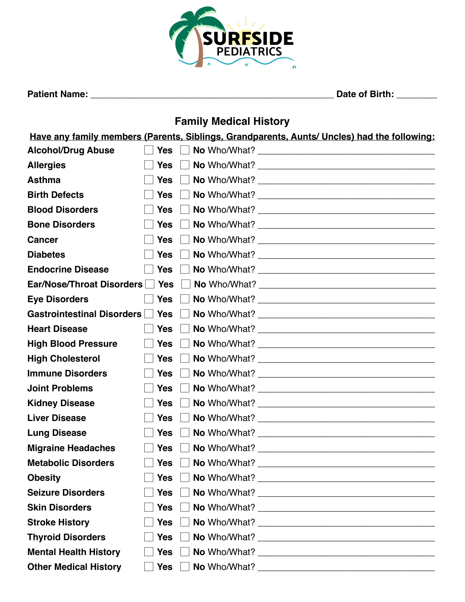![](_page_5_Picture_0.jpeg)

**Patient Name: \_\_\_\_\_\_\_\_\_\_\_\_\_\_\_\_\_\_\_\_\_\_\_\_\_\_\_\_\_\_\_\_\_\_\_\_\_\_\_\_\_\_\_\_\_\_\_\_ Date of Birth: \_\_\_\_\_\_\_\_**

# **Family Medical History**

**Have any family members (Parents, Siblings, Grandparents, Aunts/ Uncles) had the following:**

| <b>Alcohol/Drug Abuse</b>    | <b>Yes</b> |  |
|------------------------------|------------|--|
| <b>Allergies</b>             | <b>Yes</b> |  |
| <b>Asthma</b>                | <b>Yes</b> |  |
| <b>Birth Defects</b>         | <b>Yes</b> |  |
| <b>Blood Disorders</b>       | <b>Yes</b> |  |
| <b>Bone Disorders</b>        | <b>Yes</b> |  |
| <b>Cancer</b>                | <b>Yes</b> |  |
| <b>Diabetes</b>              | <b>Yes</b> |  |
| <b>Endocrine Disease</b>     | <b>Yes</b> |  |
| Ear/Nose/Throat Disorders    | Yes        |  |
| <b>Eye Disorders</b>         | <b>Yes</b> |  |
| Gastrointestinal Disorders   | Yes        |  |
| <b>Heart Disease</b>         | <b>Yes</b> |  |
| <b>High Blood Pressure</b>   | <b>Yes</b> |  |
| <b>High Cholesterol</b>      | <b>Yes</b> |  |
| <b>Immune Disorders</b>      | <b>Yes</b> |  |
| <b>Joint Problems</b>        | <b>Yes</b> |  |
| <b>Kidney Disease</b>        | <b>Yes</b> |  |
| <b>Liver Disease</b>         | <b>Yes</b> |  |
| <b>Lung Disease</b>          | <b>Yes</b> |  |
| <b>Migraine Headaches</b>    | <b>Yes</b> |  |
| <b>Metabolic Disorders</b>   | <b>Yes</b> |  |
| <b>Obesity</b>               | <b>Yes</b> |  |
| <b>Seizure Disorders</b>     | <b>Yes</b> |  |
| <b>Skin Disorders</b>        | <b>Yes</b> |  |
| <b>Stroke History</b>        | <b>Yes</b> |  |
| <b>Thyroid Disorders</b>     | <b>Yes</b> |  |
| <b>Mental Health History</b> | <b>Yes</b> |  |
| <b>Other Medical History</b> | <b>Yes</b> |  |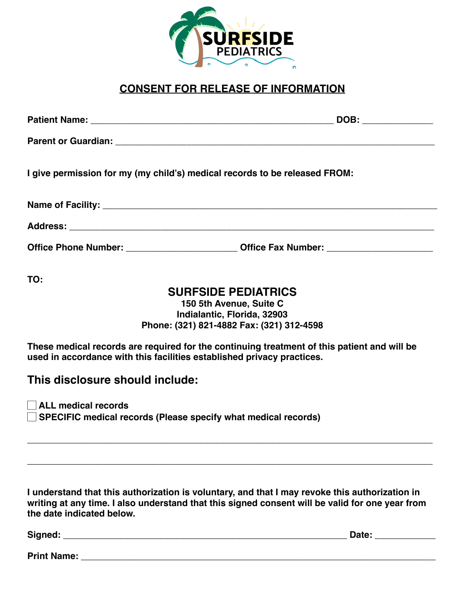![](_page_6_Picture_0.jpeg)

## **CONSENT FOR RELEASE OF INFORMATION**

| I give permission for my (my child's) medical records to be released FROM:                                                                                            |                                                                                                                                   |
|-----------------------------------------------------------------------------------------------------------------------------------------------------------------------|-----------------------------------------------------------------------------------------------------------------------------------|
|                                                                                                                                                                       |                                                                                                                                   |
|                                                                                                                                                                       |                                                                                                                                   |
|                                                                                                                                                                       | Office Phone Number: __________________________Office Fax Number: _______________                                                 |
| TO:                                                                                                                                                                   | <b>SURFSIDE PEDIATRICS</b><br>150 5th Avenue, Suite C<br>Indialantic, Florida, 32903<br>Phone: (321) 821-4882 Fax: (321) 312-4598 |
| These medical records are required for the continuing treatment of this patient and will be<br>used in accordance with this facilities established privacy practices. |                                                                                                                                   |
| This disclosure should include:                                                                                                                                       |                                                                                                                                   |
| $\vert$ $\vert$ ALL medical records<br>SPECIFIC medical records (Please specify what medical records)                                                                 |                                                                                                                                   |
|                                                                                                                                                                       |                                                                                                                                   |

**I understand that this authorization is voluntary, and that I may revoke this authorization in writing at any time. I also understand that this signed consent will be valid for one year from the date indicated below.** 

**Signed: \_\_\_\_\_\_\_\_\_\_\_\_\_\_\_\_\_\_\_\_\_\_\_\_\_\_\_\_\_\_\_\_\_\_\_\_\_\_\_\_\_\_\_\_\_\_\_\_\_\_\_\_\_\_\_\_ Date: \_\_\_\_\_\_\_\_\_\_\_\_**

**Print Name: \_\_\_\_\_\_\_\_\_\_\_\_\_\_\_\_\_\_\_\_\_\_\_\_\_\_\_\_\_\_\_\_\_\_\_\_\_\_\_\_\_\_\_\_\_\_\_\_\_\_\_\_\_\_\_\_\_\_\_\_\_\_\_\_\_\_\_\_\_\_**